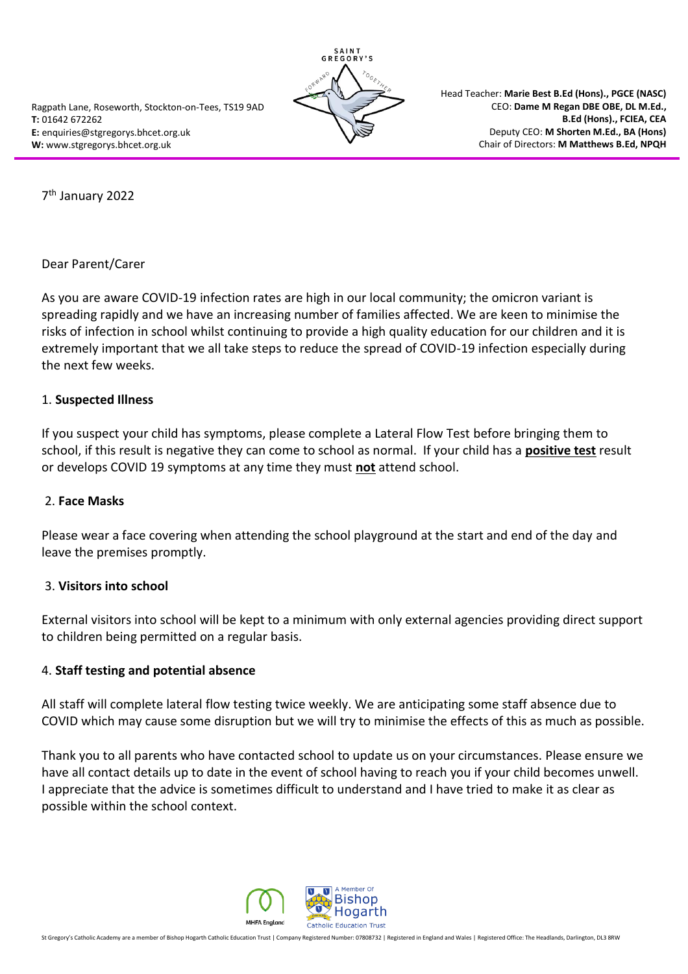

Head Teacher: **Marie Best B.Ed (Hons)., PGCE (NASC)** CEO: **Dame M Regan DBE OBE, DL M.Ed., B.Ed (Hons)., FCIEA, CEA** Deputy CEO: **M Shorten M.Ed., BA (Hons)** Chair of Directors: **M Matthews B.Ed, NPQH**

7 th January 2022

Dear Parent/Carer

As you are aware COVID-19 infection rates are high in our local community; the omicron variant is spreading rapidly and we have an increasing number of families affected. We are keen to minimise the risks of infection in school whilst continuing to provide a high quality education for our children and it is extremely important that we all take steps to reduce the spread of COVID-19 infection especially during the next few weeks.

### 1. **Suspected Illness**

If you suspect your child has symptoms, please complete a Lateral Flow Test before bringing them to school, if this result is negative they can come to school as normal. If your child has a **positive test** result or develops COVID 19 symptoms at any time they must **not** attend school.

#### 2. **Face Masks**

Please wear a face covering when attending the school playground at the start and end of the day and leave the premises promptly.

# 3. **Visitors into school**

External visitors into school will be kept to a minimum with only external agencies providing direct support to children being permitted on a regular basis.

# 4. **Staff testing and potential absence**

All staff will complete lateral flow testing twice weekly. We are anticipating some staff absence due to COVID which may cause some disruption but we will try to minimise the effects of this as much as possible.

Thank you to all parents who have contacted school to update us on your circumstances. Please ensure we have all contact details up to date in the event of school having to reach you if your child becomes unwell. I appreciate that the advice is sometimes difficult to understand and I have tried to make it as clear as possible within the school context.